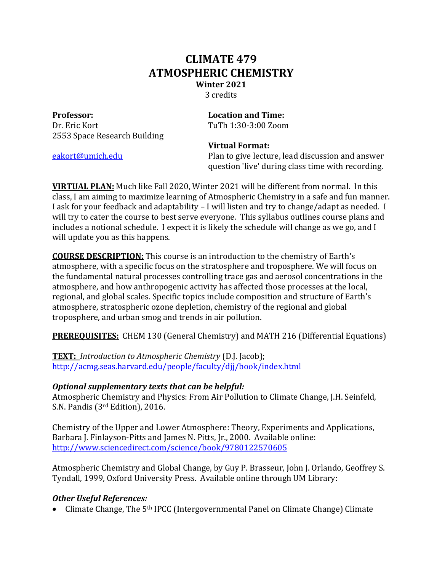# **CLIMATE 479 ATMOSPHERIC CHEMISTRY Winter 2021** 3 credits

**Professor: Conservery Location** and **Time:** Dr. Eric Kort **Canadian Community Community** TuTh 1:30-3:00 Zoom 2553 Space Research Building

 **Virtual Format:**

eakort@umich.edu **Plan** to give lecture, lead discussion and answer question 'live' during class time with recording.

**VIRTUAL PLAN:** Much like Fall 2020, Winter 2021 will be different from normal. In this class, I am aiming to maximize learning of Atmospheric Chemistry in a safe and fun manner. I ask for your feedback and adaptability – I will listen and try to change/adapt as needed. I will try to cater the course to best serve everyone. This syllabus outlines course plans and includes a notional schedule. I expect it is likely the schedule will change as we go, and I will update you as this happens.

**COURSE DESCRIPTION:** This course is an introduction to the chemistry of Earth's atmosphere, with a specific focus on the stratosphere and troposphere. We will focus on the fundamental natural processes controlling trace gas and aerosol concentrations in the atmosphere, and how anthropogenic activity has affected those processes at the local, regional, and global scales. Specific topics include composition and structure of Earth's atmosphere, stratospheric ozone depletion, chemistry of the regional and global troposphere, and urban smog and trends in air pollution.

**PREREQUISITES:** CHEM 130 (General Chemistry) and MATH 216 (Differential Equations)

**TEXT:** Introduction to Atmospheric Chemistry (D.J. Jacob); http://acmg.seas.harvard.edu/people/faculty/djj/book/index.html

### **Optional supplementary texts that can be helpful:**

Atmospheric Chemistry and Physics: From Air Pollution to Climate Change, J.H. Seinfeld, S.N. Pandis (3<sup>rd</sup> Edition), 2016.

Chemistry of the Upper and Lower Atmosphere: Theory, Experiments and Applications, Barbara J. Finlayson-Pitts and James N. Pitts, Jr., 2000. Available online: http://www.sciencedirect.com/science/book/9780122570605

Atmospheric Chemistry and Global Change, by Guy P. Brasseur, John J. Orlando, Geoffrey S. Tyndall, 1999, Oxford University Press. Available online through UM Library:

## **Other Useful References:**

• Climate Change, The 5<sup>th</sup> IPCC (Intergovernmental Panel on Climate Change) Climate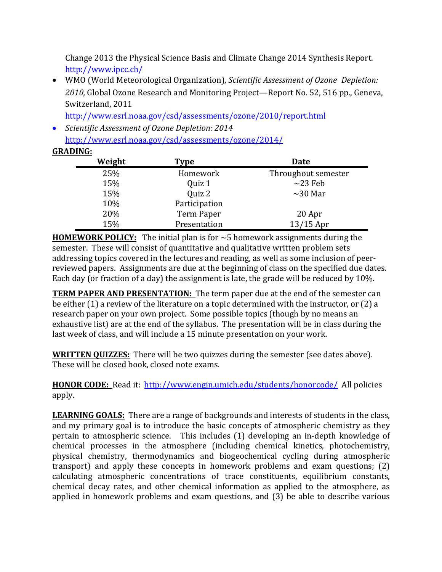Change 2013 the Physical Science Basis and Climate Change 2014 Synthesis Report. http://www.ipcc.ch/

• WMO (World Meteorological Organization), *Scientific Assessment of Ozone Depletion:* 2010, Global Ozone Research and Monitoring Project—Report No. 52, 516 pp., Geneva, Switzerland, 2011

http://www.esrl.noaa.gov/csd/assessments/ozone/2010/report.html

• *Scientific Assessment of Ozone Depletion: 2014* http://www.esrl.noaa.gov/csd/assessments/ozone/2014/ 

### **GRADING:**

| Weight | Type          | Date<br>Throughout semester<br>Homework |  |
|--------|---------------|-----------------------------------------|--|
| 25%    |               |                                         |  |
| 15%    | Quiz 1        | $\sim$ 23 Feb                           |  |
| 15%    | Quiz 2        | $\sim$ 30 Mar                           |  |
| 10%    | Participation |                                         |  |
| 20%    | Term Paper    | 20 Apr                                  |  |
| 15%    | Presentation  | $13/15$ Apr                             |  |

**HOMEWORK POLICY:** The initial plan is for  $\sim$ 5 homework assignments during the semester. These will consist of quantitative and qualitative written problem sets addressing topics covered in the lectures and reading, as well as some inclusion of peerreviewed papers. Assignments are due at the beginning of class on the specified due dates. Each day (or fraction of a day) the assignment is late, the grade will be reduced by  $10\%$ .

**TERM PAPER AND PRESENTATION:** The term paper due at the end of the semester can be either  $(1)$  a review of the literature on a topic determined with the instructor, or  $(2)$  a research paper on your own project. Some possible topics (though by no means an exhaustive list) are at the end of the syllabus. The presentation will be in class during the last week of class, and will include a 15 minute presentation on your work.

**WRITTEN QUIZZES:** There will be two quizzes during the semester (see dates above). These will be closed book, closed note exams.

**HONOR CODE:** Read it: http://www.engin.umich.edu/students/honorcode/ All policies apply.

**LEARNING GOALS:** There are a range of backgrounds and interests of students in the class, and my primary goal is to introduce the basic concepts of atmospheric chemistry as they pertain to atmospheric science. This includes (1) developing an in-depth knowledge of chemical processes in the atmosphere (including chemical kinetics, photochemistry, physical chemistry, thermodynamics and biogeochemical cycling during atmospheric transport) and apply these concepts in homework problems and exam questions;  $(2)$ calculating atmospheric concentrations of trace constituents, equilibrium constants, chemical decay rates, and other chemical information as applied to the atmosphere, as applied in homework problems and exam questions, and  $(3)$  be able to describe various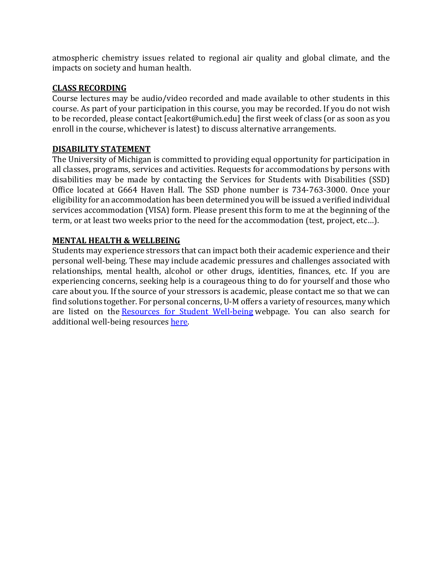atmospheric chemistry issues related to regional air quality and global climate, and the impacts on society and human health.

#### **CLASS RECORDING**

Course lectures may be audio/video recorded and made available to other students in this course. As part of your participation in this course, you may be recorded. If you do not wish to be recorded, please contact [eakort@umich.edu] the first week of class (or as soon as you enroll in the course, whichever is latest) to discuss alternative arrangements.

#### **DISABILITY STATEMENT**

The University of Michigan is committed to providing equal opportunity for participation in all classes, programs, services and activities. Requests for accommodations by persons with disabilities may be made by contacting the Services for Students with Disabilities (SSD) Office located at G664 Haven Hall. The SSD phone number is 734-763-3000. Once your eligibility for an accommodation has been determined you will be issued a verified individual services accommodation (VISA) form. Please present this form to me at the beginning of the term, or at least two weeks prior to the need for the accommodation (test, project, etc...).

### **MENTAL HEALTH & WELLBEING**

Students may experience stressors that can impact both their academic experience and their personal well-being. These may include academic pressures and challenges associated with relationships, mental health, alcohol or other drugs, identities, finances, etc. If you are experiencing concerns, seeking help is a courageous thing to do for yourself and those who care about you. If the source of your stressors is academic, please contact me so that we can find solutions together. For personal concerns, U-M offers a variety of resources, many which are listed on the Resources for Student Well-being webpage. You can also search for additional well-being resources here.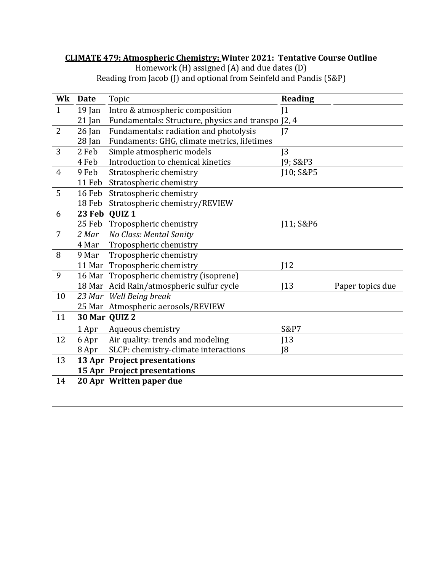#### **CLIMATE 479: Atmospheric Chemistry: Winter 2021: Tentative Course Outline**

Homework  $(H)$  assigned  $(A)$  and due dates  $(D)$ Reading from Jacob (J) and optional from Seinfeld and Pandis (S&P)

| Wk             | <b>Date</b> | Topic                                              | <b>Reading</b>  |                  |
|----------------|-------------|----------------------------------------------------|-----------------|------------------|
| $\mathbf{1}$   | $19$ Jan    | Intro & atmospheric composition                    | 1               |                  |
|                | $21$ Jan    | Fundamentals: Structure, physics and transpo J2, 4 |                 |                  |
| $\overline{2}$ | $26$ Jan    | Fundamentals: radiation and photolysis             | 17              |                  |
|                | $28$ Jan    | Fundaments: GHG, climate metrics, lifetimes        |                 |                  |
| 3              | 2 Feb       | Simple atmospheric models                          | J <sub>3</sub>  |                  |
|                | 4 Feb       | Introduction to chemical kinetics                  | J9; S&P3        |                  |
| $\overline{4}$ | 9 Feb       | Stratospheric chemistry                            | [10; S&P5       |                  |
|                | 11 Feb      | Stratospheric chemistry                            |                 |                  |
| 5              | 16 Feb      | Stratospheric chemistry                            |                 |                  |
|                | 18 Feb      | Stratospheric chemistry/REVIEW                     |                 |                  |
| 6              |             | 23 Feb QUIZ 1                                      |                 |                  |
|                |             | 25 Feb Tropospheric chemistry                      | 11; S&P6        |                  |
| $\overline{7}$ | 2 Mar       | No Class: Mental Sanity                            |                 |                  |
|                | 4 Mar       | Tropospheric chemistry                             |                 |                  |
| 8              | 9 Mar       | Tropospheric chemistry                             |                 |                  |
|                |             | 11 Mar Tropospheric chemistry                      | 12              |                  |
| 9              |             | 16 Mar Tropospheric chemistry (isoprene)           |                 |                  |
|                |             | 18 Mar Acid Rain/atmospheric sulfur cycle          | 13              | Paper topics due |
| 10             |             | 23 Mar Well Being break                            |                 |                  |
|                |             | 25 Mar Atmospheric aerosols/REVIEW                 |                 |                  |
| 11             |             | 30 Mar QUIZ 2                                      |                 |                  |
|                | 1 Apr       | Aqueous chemistry                                  | <b>S&amp;P7</b> |                  |
| 12             | 6 Apr       | Air quality: trends and modeling                   | 13              |                  |
|                | 8 Apr       | SLCP: chemistry-climate interactions               | 18              |                  |
| 13             |             | <b>13 Apr Project presentations</b>                |                 |                  |
|                |             | <b>15 Apr Project presentations</b>                |                 |                  |
| 14             |             | 20 Apr Written paper due                           |                 |                  |
|                |             |                                                    |                 |                  |